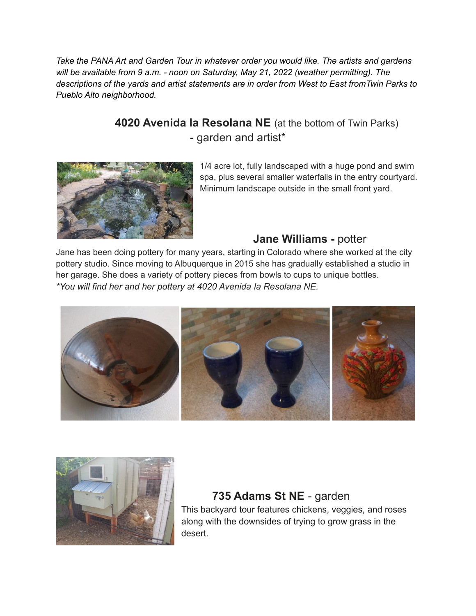*Take the PANA Art and Garden Tour in whatever order you would like. The artists and gardens will be available from 9 a.m. - noon on Saturday, May 21, 2022 (weather permitting). The descriptions of the yards and artist statements are in order from West to East fromTwin Parks to Pueblo Alto neighborhood.*

### **4020 Avenida la Resolana NE** (at the bottom of Twin Parks) - garden and artist\*



1/4 acre lot, fully landscaped with a huge pond and swim spa, plus several smaller waterfalls in the entry courtyard. Minimum landscape outside in the small front yard.

#### **Jane Williams -** potter

Jane has been doing pottery for many years, starting in Colorado where she worked at the city pottery studio. Since moving to Albuquerque in 2015 she has gradually established a studio in her garage. She does a variety of pottery pieces from bowls to cups to unique bottles. *\*You will find her and her pottery at 4020 Avenida la Resolana NE.*





#### **735 Adams St NE** - garden

This backyard tour features chickens, veggies, and roses along with the downsides of trying to grow grass in the desert.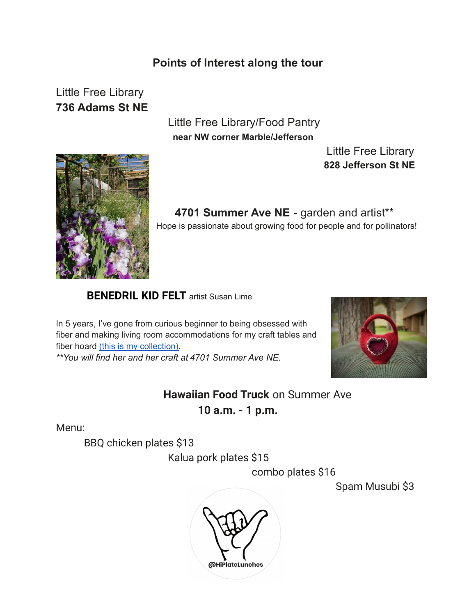#### **Points of Interest along the tour**

# Little Free Library **736 Adams St NE**

Little Free Library/Food Pantry **near NW corner Marble/Jefferson**

> Little Free Library **828 Jefferson St NE**



**4701 Summer Ave NE** - garden and artist\*\* Hope is passionate about growing food for people and for pollinators!

#### **[BENEDRIL](https://www.benedrilkidfelt.com/) KID FELT** artist Susan Lime

In 5 years, I've gone from curious beginner to being obsessed with fiber and making living room accommodations for my craft tables and fiber hoard (this is my [collection\).](https://www.benedrilkidfelt.com/) *\*\*You will find her and her craft at 4701 Summer Ave NE.*



**Hawaiian Food Truck** on Summer Ave **10 a.m. - 1 p.m.**

Menu:

BBQ chicken plates \$13

Kalua pork plates \$15

combo plates \$16

Spam Musubi \$3

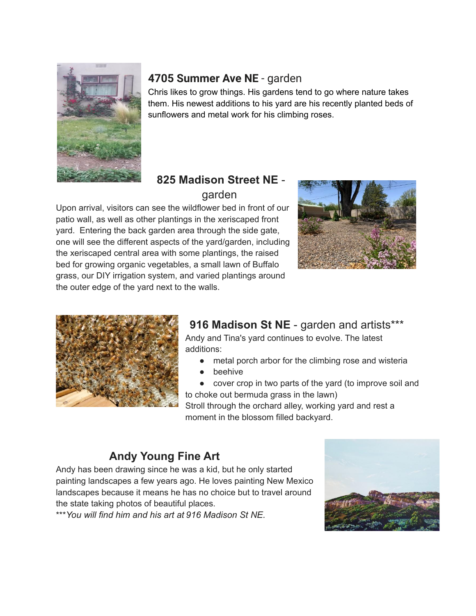

### **4705 Summer Ave NE** - garden

Chris likes to grow things. His gardens tend to go where nature takes them. His newest additions to his yard are his recently planted beds of sunflowers and metal work for his climbing roses.

### **825 Madison Street NE** garden

Upon arrival, visitors can see the wildflower bed in front of our patio wall, as well as other plantings in the xeriscaped front yard. Entering the back garden area through the side gate, one will see the different aspects of the yard/garden, including the xeriscaped central area with some plantings, the raised bed for growing organic vegetables, a small lawn of Buffalo grass, our DIY irrigation system, and varied plantings around the outer edge of the yard next to the walls.





# **916 Madison St NE** - garden and artists\*\*\*

Andy and Tina's yard continues to evolve. The latest additions:

- metal porch arbor for the climbing rose and wisteria
- beehive
- cover crop in two parts of the yard (to improve soil and to choke out bermuda grass in the lawn)

Stroll through the orchard alley, working yard and rest a moment in the blossom filled backyard.

## **Andy Young Fine Art**

Andy has been drawing since he was a kid, but he only started painting landscapes a few years ago. He loves painting New Mexico landscapes because it means he has no choice but to travel around the state taking photos of beautiful places.

\*\*\**You will find him and his art at 916 Madison St NE.*